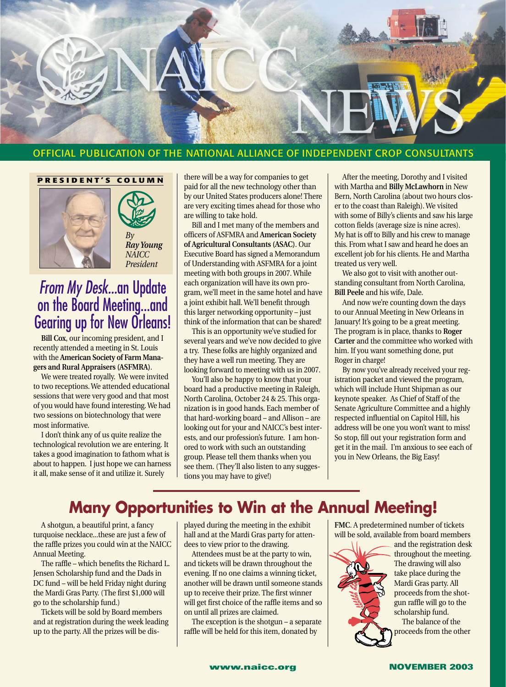

#### OFFICIAL PUBLICATION OF THE NATIONAL ALLIANCE OF INDEPENDENT CROP CONSULTANTS

#### **PRESIDENT'S COLUMN**





*From My Desk...*an Update *President*

on the Board Meeting...and Gearing up for New Orleans! **Bill Cox**, our incoming president, and I

recently attended a meeting in St. Louis with the **American Society of Farm Managers and Rural Appraisers (ASFMRA)**.

We were treated royally. We were invited to two receptions. We attended educational sessions that were very good and that most of you would have found interesting. We had two sessions on biotechnology that were most informative.

I don't think any of us quite realize the technological revolution we are entering. It takes a good imagination to fathom what is about to happen. I just hope we can harness it all, make sense of it and utilize it. Surely

there will be a way for companies to get paid for all the new technology other than by our United States producers alone! There are very exciting times ahead for those who are willing to take hold.

Bill and I met many of the members and officers of ASFMRA and **American Society of Agricultural Consultants (ASAC)**. Our Executive Board has signed a Memorandum of Understanding with ASFMRA for a joint meeting with both groups in 2007. While each organization will have its own program, we'll meet in the same hotel and have a joint exhibit hall. We'll benefit through this larger networking opportunity – just think of the information that can be shared!

This is an opportunity we've studied for several years and we've now decided to give a try. These folks are highly organized and they have a well run meeting. They are looking forward to meeting with us in 2007.

You'll also be happy to know that your board had a productive meeting in Raleigh, North Carolina, October 24 & 25. This organization is in good hands. Each member of that hard-working board – and Allison – are looking out for your and NAICC's best interests, and our profession's future. I am honored to work with such an outstanding group. Please tell them thanks when you see them. (They'll also listen to any suggestions you may have to give!)

After the meeting, Dorothy and I visited with Martha and **Billy McLawhorn** in New Bern, North Carolina (about two hours closer to the coast than Raleigh). We visited with some of Billy's clients and saw his large cotton fields (average size is nine acres). My hat is off to Billy and his crew to manage this. From what I saw and heard he does an excellent job for his clients. He and Martha treated us very well.

We also got to visit with another outstanding consultant from North Carolina, **Bill Peele** and his wife, Dale.

And now we're counting down the days to our Annual Meeting in New Orleans in January! It's going to be a great meeting. The program is in place, thanks to **Roger Carter** and the committee who worked with him. If you want something done, put Roger in charge!

By now you've already received your registration packet and viewed the program, which will include Hunt Shipman as our keynote speaker. As Chief of Staff of the Senate Agriculture Committee and a highly respected influential on Capitol Hill, his address will be one you won't want to miss! So stop, fill out your registration form and get it in the mail. I'm anxious to see each of you in New Orleans, the Big Easy!

# **Many Opportunities to Win at the Annual Meeting!**

A shotgun, a beautiful print, a fancy turquoise necklace...these are just a few of the raffle prizes you could win at the NAICC Annual Meeting.

The raffle – which benefits the Richard L. Jensen Scholarship fund and the Dads in DC fund – will be held Friday night during the Mardi Gras Party. (The first \$1,000 will go to the scholarship fund.)

Tickets will be sold by Board members and at registration during the week leading up to the party. All the prizes will be dis-

played during the meeting in the exhibit hall and at the Mardi Gras party for attendees to view prior to the drawing.

Attendees must be at the party to win, and tickets will be drawn throughout the evening. If no one claims a winning ticket, another will be drawn until someone stands up to receive their prize. The first winner will get first choice of the raffle items and so on until all prizes are claimed.

The exception is the shotgun – a separate raffle will be held for this item, donated by

**FMC**. A predetermined number of tickets will be sold, available from board members



and the registration desk throughout the meeting. The drawing will also take place during the Mardi Gras party. All proceeds from the shotgun raffle will go to the scholarship fund.

The balance of the proceeds from the other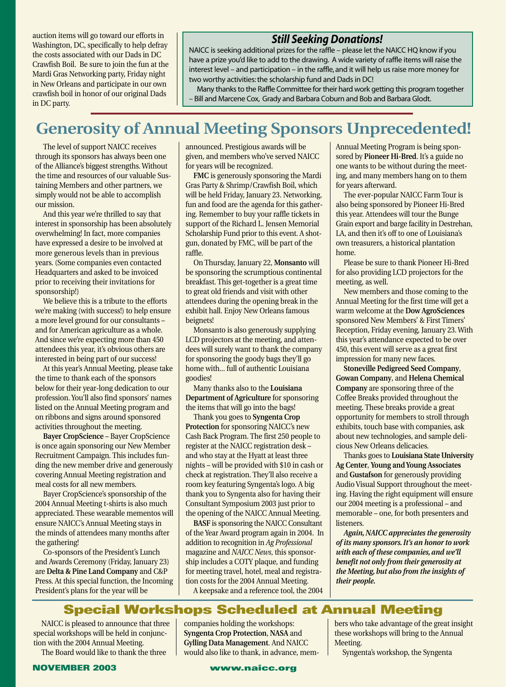auction items will go toward our efforts in Washington, DC, specifically to help defray the costs associated with our Dads in DC Crawfish Boil. Be sure to join the fun at the Mardi Gras Networking party, Friday night in New Orleans and participate in our own crawfish boil in honor of our original Dads in DC party.

## *Still Seeking Donations!*

NAICC is seeking additional prizes for the raffle – please let the NAICC HQ know if you have a prize you'd like to add to the drawing. A wide variety of raffle items will raise the interest level – and participation – in the raffle, and it will help us raise more money for two worthy activities: the scholarship fund and Dads in DC!

Many thanks to the Raffle Committee for their hard work getting this program together – Bill and Marcene Cox, Grady and Barbara Coburn and Bob and Barbara Glodt.

# **Generosity of Annual Meeting Sponsors Unprecedented!**

The level of support NAICC receives through its sponsors has always been one of the Alliance's biggest strengths. Without the time and resources of our valuable Sustaining Members and other partners, we simply would not be able to accomplish our mission.

And this year we're thrilled to say that interest in sponsorship has been absolutely overwhelming! In fact, more companies have expressed a desire to be involved at more generous levels than in previous years. (Some companies even contacted Headquarters and asked to be invoiced prior to receiving their invitations for sponsorship!)

We believe this is a tribute to the efforts we're making (with success!) to help ensure a more level ground for our consultants – and for American agriculture as a whole. And since we're expecting more than 450 attendees this year, it's obvious others are interested in being part of our success!

At this year's Annual Meeting, please take the time to thank each of the sponsors below for their year-long dedication to our profession. You'll also find sponsors' names listed on the Annual Meeting program and on ribbons and signs around sponsored activities throughout the meeting.

**Bayer CropScience** – Bayer CropScience is once again sponsoring our New Member Recruitment Campaign. This includes funding the new member drive and generously covering Annual Meeting registration and meal costs for all new members.

Bayer CropScience's sponsorship of the 2004 Annual Meeting t-shirts is also much appreciated. These wearable mementos will ensure NAICC's Annual Meeting stays in the minds of attendees many months after the gathering!

Co-sponsors of the President's Lunch and Awards Ceremony (Friday, January 23) are **Delta & Pine Land Company** and C&P Press. At this special function, the Incoming President's plans for the year will be

announced. Prestigious awards will be given, and members who've served NAICC for years will be recognized.

**FMC** is generously sponsoring the Mardi Gras Party & Shrimp/Crawfish Boil, which will be held Friday, January 23. Networking, fun and food are the agenda for this gathering. Remember to buy your raffle tickets in support of the Richard L. Jensen Memorial Scholarship Fund prior to this event. A shotgun, donated by FMC, will be part of the raffle.

On Thursday, January 22, **Monsanto** will be sponsoring the scrumptious continental breakfast. This get-together is a great time to great old friends and visit with other attendees during the opening break in the exhibit hall. Enjoy New Orleans famous beignets!

Monsanto is also generously supplying LCD projectors at the meeting, and attendees will surely want to thank the company for sponsoring the goody bags they'll go home with... full of authentic Louisiana goodies!

Many thanks also to the **Louisiana Department of Agriculture** for sponsoring the items that will go into the bags!

Thank you goes to **Syngenta Crop Protection** for sponsoring NAICC's new Cash Back Program. The first 250 people to register at the NAICC registration desk – and who stay at the Hyatt at least three nights – will be provided with \$10 in cash or check at registration. They'll also receive a room key featuring Syngenta's logo. A big thank you to Syngenta also for having their Consultant Symposium 2003 just prior to the opening of the NAICC Annual Meeting.

**BASF** is sponsoring the NAICC Consultant of the Year Award program again in 2004. In addition to recognition in *Ag Professional* magazine and *NAICC News*, this sponsorship includes a COTY plaque, and funding for meeting travel, hotel, meal and registration costs for the 2004 Annual Meeting.

A keepsake and a reference tool, the 2004

Annual Meeting Program is being sponsored by **Pioneer Hi-Bred**. It's a guide no one wants to be without during the meeting, and many members hang on to them for years afterward.

The ever-popular NAICC Farm Tour is also being sponsored by Pioneer Hi-Bred this year. Attendees will tour the Bunge Grain export and barge facility in Destrehan, LA, and then it's off to one of Louisiana's own treasurers, a historical plantation home.

Please be sure to thank Pioneer Hi-Bred for also providing LCD projectors for the meeting, as well.

New members and those coming to the Annual Meeting for the first time will get a warm welcome at the **Dow AgroSciences** sponsored New Members' & First Timers' Reception, Friday evening, January 23. With this year's attendance expected to be over 450, this event will serve as a great first impression for many new faces.

**Stoneville Pedigreed Seed Company**, **Gowan Company**, and **Helena Chemical Company** are sponsoring three of the Coffee Breaks provided throughout the meeting. These breaks provide a great opportunity for members to stroll through exhibits, touch base with companies, ask about new technologies, and sample delicious New Orleans delicacies.

Thanks goes to **Louisiana State University Ag Center**, **Young and Young Associates** and **Gustafson** for generously providing Audio Visual Support throughout the meeting. Having the right equipment will ensure our 2004 meeting is a professional – and memorable – one, for both presenters and listeners.

*Again, NAICC appreciates the generosity of its many sponsors. It's an honor to work with each of these companies, and we'll benefit not only from their generosity at the Meeting, but also from the insights of their people.*

## **Special Workshops Scheduled at Annual Meeting**

NAICC is pleased to announce that three special workshops will be held in conjunction with the 2004 Annual Meeting.

The Board would like to thank the three

companies holding the workshops: **Syngenta Crop Protection**, **NASA** and **Gylling Data Management**. And NAICC would also like to thank, in advance, mem-

bers who take advantage of the great insight these workshops will bring to the Annual Meeting.

Syngenta's workshop, the Syngenta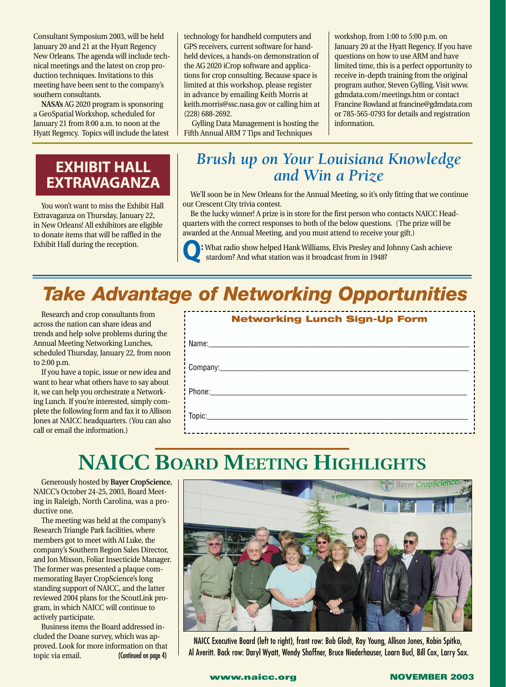Consultant Symposium 2003, will be held January 20 and 21 at the Hyatt Regency New Orleans. The agenda will include technical meetings and the latest on crop production techniques. Invitations to this meeting have been sent to the company's southern consultants.

**NASA's** AG 2020 program is sponsoring a GeoSpatial Workshop, scheduled for January 21 from 8:00 a.m. to noon at the Hyatt Regency. Topics will include the latest technology for handheld computers and GPS receivers, current software for handheld devices, a hands-on demonstration of the AG 2020 iCrop software and applications for crop consulting. Because space is limited at this workshop, please register in advance by emailing Keith Morris at keith.morris@ssc.nasa.gov or calling him at (228) 688-2692.

Gylling Data Management is hosting the Fifth Annual ARM 7 Tips and Techniques

workshop, from 1:00 to 5:00 p.m. on January 20 at the Hyatt Regency. If you have questions on how to use ARM and have limited time, this is a perfect opportunity to receive in-depth training from the original program author, Steven Gylling. Visit www. gdmdata.com/meetings.htm or contact Francine Rowland at francine@gdmdata.com or 785-565-0793 for details and registration information.

## **EXHIBIT HALL EXTRAVAGANZA**

You won't want to miss the Exhibit Hall Extravaganza on Thursday, January 22, in New Orleans! All exhibitors are eligible to donate items that will be raffled in the Exhibit Hall during the reception.

# *Brush up on Your Louisiana Knowledge and Win a Prize*

We'll soon be in New Orleans for the Annual Meeting, so it's only fitting that we continue our Crescent City trivia contest.

Be the lucky winner! A prize is in store for the first person who contacts NAICC Headquarters with the correct responses to both of the below questions. (The prize will be awarded at the Annual Meeting, and you must attend to receive your gift.)

**Q:** What radio show helped Hank Williams, Elvis Presley and Johnny Cash achieve stardom? And what station was it broadcast from in 1948?

# *Take Advantage of Networking Opportunities*

Research and crop consultants from across the nation can share ideas and trends and help solve problems during the Annual Meeting Networking Lunches, scheduled Thursday, January 22, from noon to 2:00 p.m.

If you have a topic, issue or new idea and want to hear what others have to say about it, we can help you orchestrate a Networking Lunch. If you're interested, simply complete the following form and fax it to Allison Jones at NAICC headquarters. (You can also call or email the information.)

| <b>Networking Lunch Sign-Up Form</b> |  |  |  |  |  |  |
|--------------------------------------|--|--|--|--|--|--|
|                                      |  |  |  |  |  |  |
|                                      |  |  |  |  |  |  |
|                                      |  |  |  |  |  |  |
|                                      |  |  |  |  |  |  |

# **NAICC BOARD MEETING HIGHLIGHTS**

Generously hosted by **Bayer CropScience**, NAICC's October 24-25, 2003, Board Meeting in Raleigh, North Carolina, was a productive one.

The meeting was held at the company's Research Triangle Park facilities, where members got to meet with Al Luke, the company's Southern Region Sales Director, and Jon Mixson, Foliar Insecticide Manager. The former was presented a plaque commemorating Bayer CropScience's long standing support of NAICC, and the latter reviewed 2004 plans for the ScoutLink program, in which NAICC will continue to actively participate.

Business items the Board addressed included the Doane survey, which was approved. Look for more information on that topic via email. (Continued on page 4)



NAICC Executive Board (left to right), front row: Bob Glodt, Ray Young, Allison Jones, Robin Spitko, Al Averitt. Back row: Daryl Wyatt, Wendy Shoffner, Bruce Niederhauser, Loarn Bucl, Bill Cox, Larry Sax.